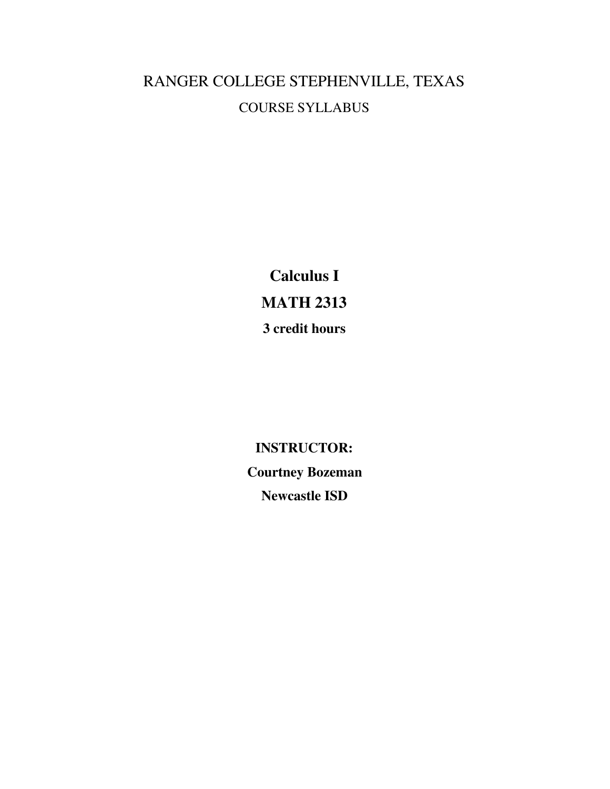# RANGER COLLEGE STEPHENVILLE, TEXAS COURSE SYLLABUS

**Calculus I MATH 2313 3 credit hours**

**INSTRUCTOR: Courtney Bozeman Newcastle ISD**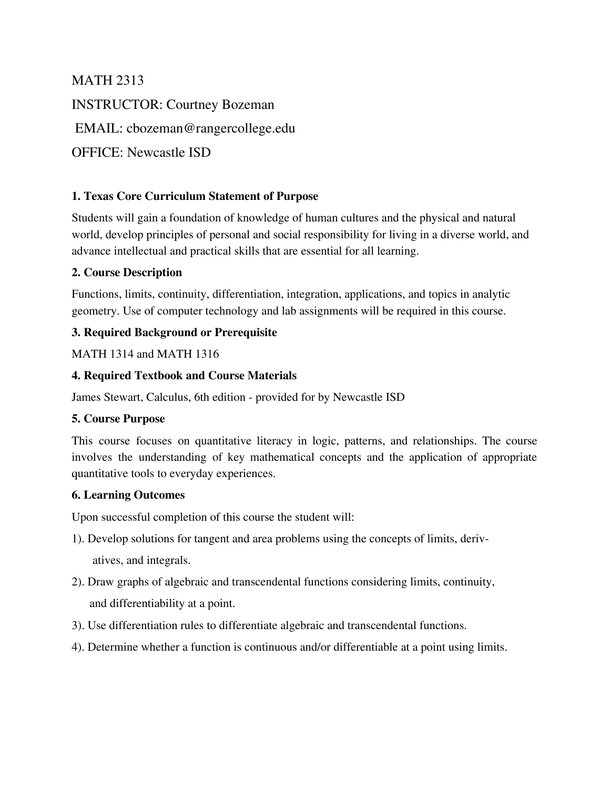MATH 2313 INSTRUCTOR: Courtney Bozeman EMAIL: cbozeman@rangercollege.edu OFFICE: Newcastle ISD

## **1. Texas Core Curriculum Statement of Purpose**

Students will gain a foundation of knowledge of human cultures and the physical and natural world, develop principles of personal and social responsibility for living in a diverse world, and advance intellectual and practical skills that are essential for all learning.

## **2. Course Description**

Functions, limits, continuity, differentiation, integration, applications, and topics in analytic geometry. Use of computer technology and lab assignments will be required in this course.

## **3. Required Background or Prerequisite**

### MATH 1314 and MATH 1316

## **4. Required Textbook and Course Materials**

James Stewart, Calculus, 6th edition - provided for by Newcastle ISD

### **5. Course Purpose**

This course focuses on quantitative literacy in logic, patterns, and relationships. The course involves the understanding of key mathematical concepts and the application of appropriate quantitative tools to everyday experiences.

### **6. Learning Outcomes**

Upon successful completion of this course the student will:

- 1). Develop solutions for tangent and area problems using the concepts of limits, derivatives, and integrals.
- 2). Draw graphs of algebraic and transcendental functions considering limits, continuity, and differentiability at a point.
- 3). Use differentiation rules to differentiate algebraic and transcendental functions.
- 4). Determine whether a function is continuous and/or differentiable at a point using limits.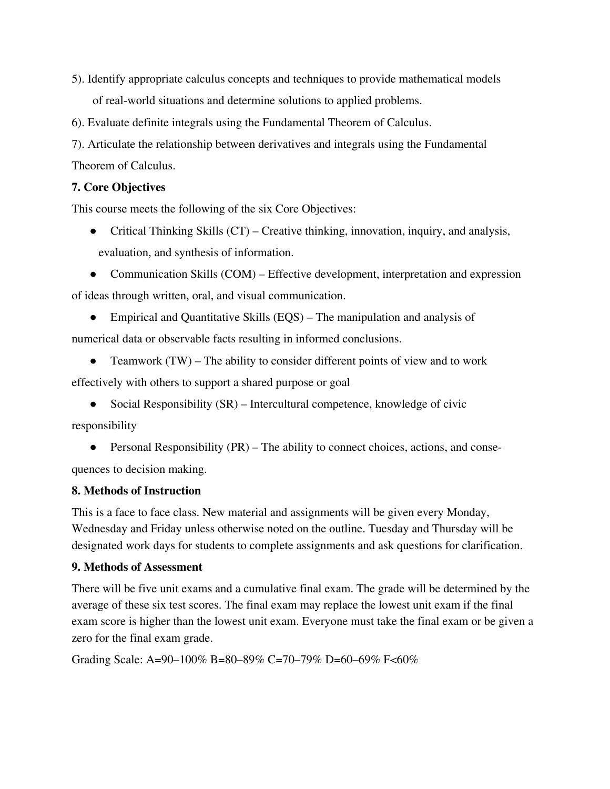5). Identify appropriate calculus concepts and techniques to provide mathematical models of real-world situations and determine solutions to applied problems.

6). Evaluate definite integrals using the Fundamental Theorem of Calculus.

7). Articulate the relationship between derivatives and integrals using the Fundamental Theorem of Calculus.

## **7. Core Objectives**

This course meets the following of the six Core Objectives:

• Critical Thinking Skills (CT) – Creative thinking, innovation, inquiry, and analysis, evaluation, and synthesis of information.

• Communication Skills (COM) – Effective development, interpretation and expression

of ideas through written, oral, and visual communication.

• Empirical and Quantitative Skills (EQS) – The manipulation and analysis of numerical data or observable facts resulting in informed conclusions.

- Teamwork (TW) The ability to consider different points of view and to work effectively with others to support a shared purpose or goal
	- Social Responsibility (SR) Intercultural competence, knowledge of civic

responsibility

• Personal Responsibility  $(PR)$  – The ability to connect choices, actions, and consequences to decision making.

## **8. Methods of Instruction**

This is a face to face class. New material and assignments will be given every Monday, Wednesday and Friday unless otherwise noted on the outline. Tuesday and Thursday will be designated work days for students to complete assignments and ask questions for clarification.

### **9. Methods of Assessment**

There will be five unit exams and a cumulative final exam. The grade will be determined by the average of these six test scores. The final exam may replace the lowest unit exam if the final exam score is higher than the lowest unit exam. Everyone must take the final exam or be given a zero for the final exam grade.

Grading Scale: A=90–100% B=80–89% C=70–79% D=60–69% F<60%